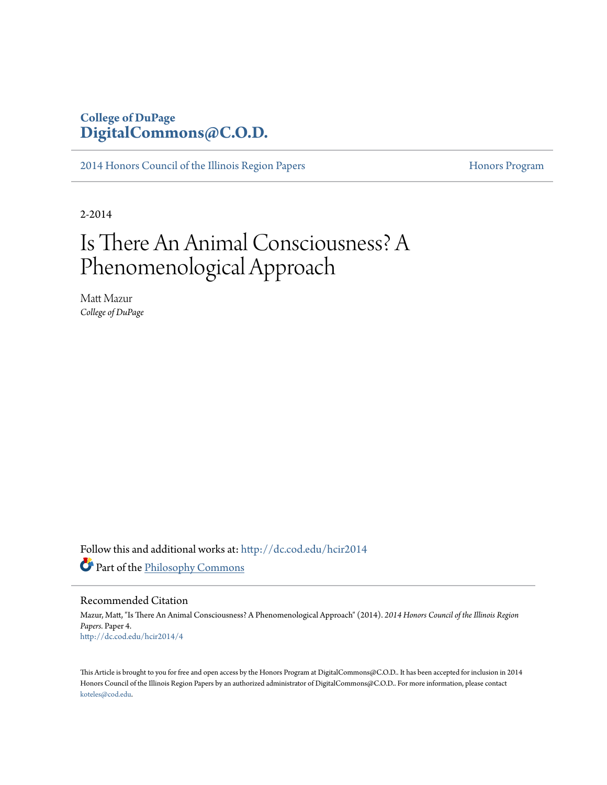### **College of DuPage [DigitalCommons@C.O.D.](http://dc.cod.edu?utm_source=dc.cod.edu%2Fhcir2014%2F4&utm_medium=PDF&utm_campaign=PDFCoverPages)**

[2014 Honors Council of the Illinois Region Papers](http://dc.cod.edu/hcir2014?utm_source=dc.cod.edu%2Fhcir2014%2F4&utm_medium=PDF&utm_campaign=PDFCoverPages) [Honors Program](http://dc.cod.edu/honors?utm_source=dc.cod.edu%2Fhcir2014%2F4&utm_medium=PDF&utm_campaign=PDFCoverPages) Honors Program

2-2014

## Is There An Animal Consciousness? A Phenomenological Approach

Matt Mazur *College of DuPage*

Follow this and additional works at: [http://dc.cod.edu/hcir2014](http://dc.cod.edu/hcir2014?utm_source=dc.cod.edu%2Fhcir2014%2F4&utm_medium=PDF&utm_campaign=PDFCoverPages) Part of the [Philosophy Commons](http://network.bepress.com/hgg/discipline/525?utm_source=dc.cod.edu%2Fhcir2014%2F4&utm_medium=PDF&utm_campaign=PDFCoverPages)

### Recommended Citation

Mazur, Matt, "Is There An Animal Consciousness? A Phenomenological Approach" (2014). *2014 Honors Council of the Illinois Region Papers.* Paper 4. [http://dc.cod.edu/hcir2014/4](http://dc.cod.edu/hcir2014/4?utm_source=dc.cod.edu%2Fhcir2014%2F4&utm_medium=PDF&utm_campaign=PDFCoverPages)

This Article is brought to you for free and open access by the Honors Program at DigitalCommons@C.O.D.. It has been accepted for inclusion in 2014 Honors Council of the Illinois Region Papers by an authorized administrator of DigitalCommons@C.O.D.. For more information, please contact [koteles@cod.edu](mailto:koteles@cod.edu).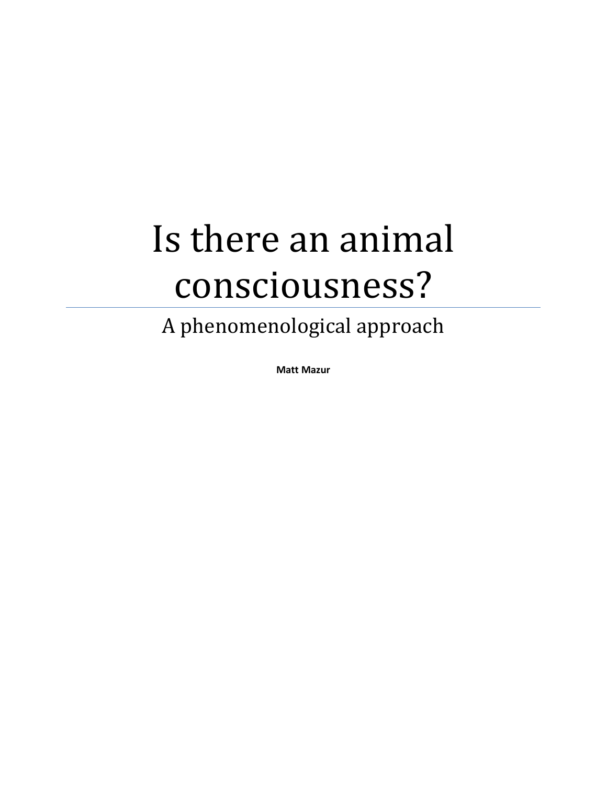# Is there an animal consciousness?

A phenomenological approach

**Matt Mazur**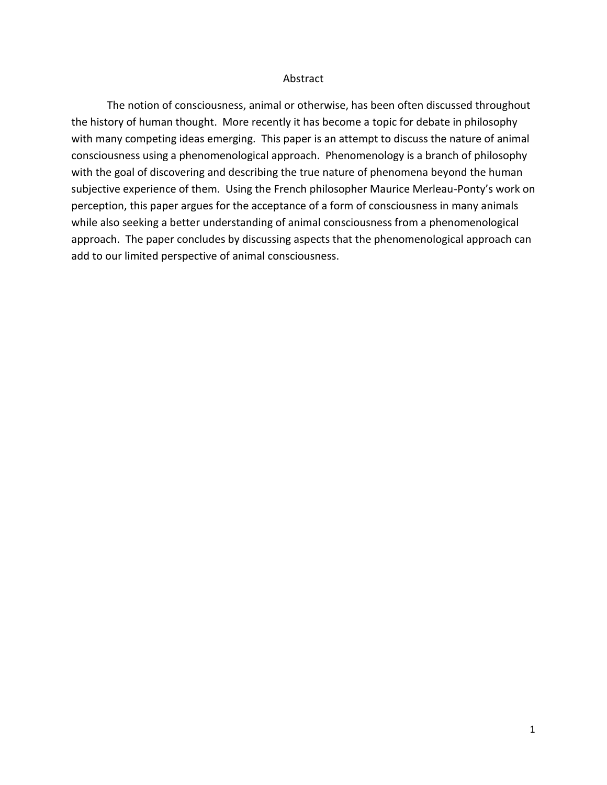### Abstract

The notion of consciousness, animal or otherwise, has been often discussed throughout the history of human thought. More recently it has become a topic for debate in philosophy with many competing ideas emerging. This paper is an attempt to discuss the nature of animal consciousness using a phenomenological approach. Phenomenology is a branch of philosophy with the goal of discovering and describing the true nature of phenomena beyond the human subjective experience of them. Using the French philosopher Maurice Merleau-Ponty's work on perception, this paper argues for the acceptance of a form of consciousness in many animals while also seeking a better understanding of animal consciousness from a phenomenological approach. The paper concludes by discussing aspects that the phenomenological approach can add to our limited perspective of animal consciousness.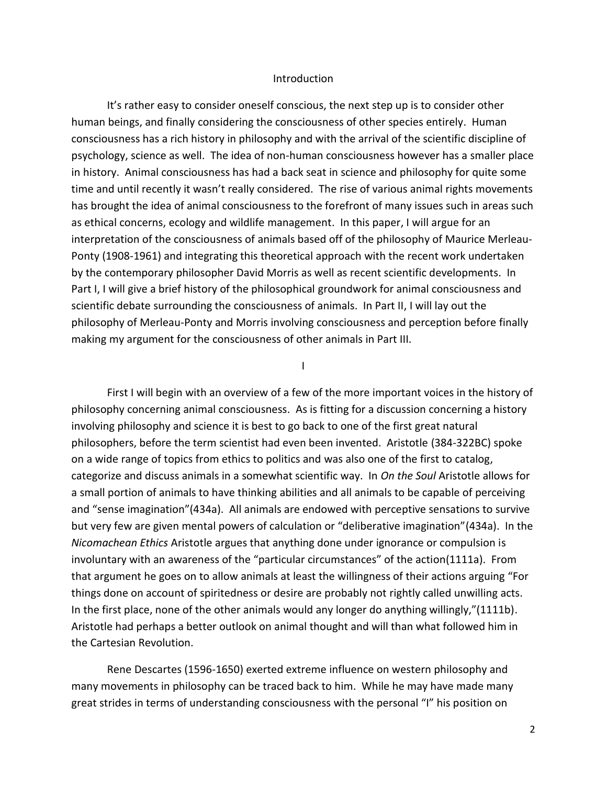#### Introduction

It's rather easy to consider oneself conscious, the next step up is to consider other human beings, and finally considering the consciousness of other species entirely. Human consciousness has a rich history in philosophy and with the arrival of the scientific discipline of psychology, science as well. The idea of non-human consciousness however has a smaller place in history. Animal consciousness has had a back seat in science and philosophy for quite some time and until recently it wasn't really considered. The rise of various animal rights movements has brought the idea of animal consciousness to the forefront of many issues such in areas such as ethical concerns, ecology and wildlife management. In this paper, I will argue for an interpretation of the consciousness of animals based off of the philosophy of Maurice Merleau-Ponty (1908-1961) and integrating this theoretical approach with the recent work undertaken by the contemporary philosopher David Morris as well as recent scientific developments. In Part I, I will give a brief history of the philosophical groundwork for animal consciousness and scientific debate surrounding the consciousness of animals. In Part II, I will lay out the philosophy of Merleau-Ponty and Morris involving consciousness and perception before finally making my argument for the consciousness of other animals in Part III.

### I

First I will begin with an overview of a few of the more important voices in the history of philosophy concerning animal consciousness. As is fitting for a discussion concerning a history involving philosophy and science it is best to go back to one of the first great natural philosophers, before the term scientist had even been invented. Aristotle (384-322BC) spoke on a wide range of topics from ethics to politics and was also one of the first to catalog, categorize and discuss animals in a somewhat scientific way. In *On the Soul* Aristotle allows for a small portion of animals to have thinking abilities and all animals to be capable of perceiving and "sense imagination"(434a). All animals are endowed with perceptive sensations to survive but very few are given mental powers of calculation or "deliberative imagination"(434a). In the *Nicomachean Ethics* Aristotle argues that anything done under ignorance or compulsion is involuntary with an awareness of the "particular circumstances" of the action(1111a). From that argument he goes on to allow animals at least the willingness of their actions arguing "For things done on account of spiritedness or desire are probably not rightly called unwilling acts. In the first place, none of the other animals would any longer do anything willingly,"(1111b). Aristotle had perhaps a better outlook on animal thought and will than what followed him in the Cartesian Revolution.

Rene Descartes (1596-1650) exerted extreme influence on western philosophy and many movements in philosophy can be traced back to him. While he may have made many great strides in terms of understanding consciousness with the personal "I" his position on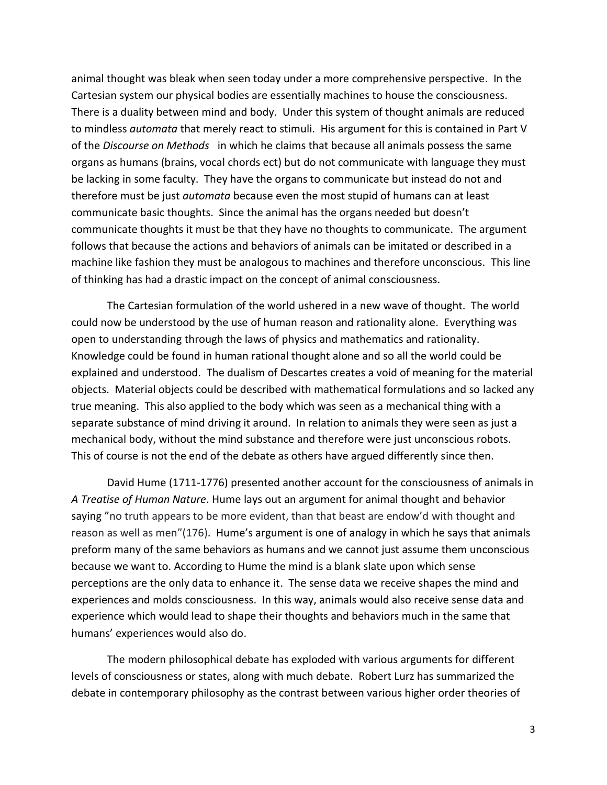animal thought was bleak when seen today under a more comprehensive perspective. In the Cartesian system our physical bodies are essentially machines to house the consciousness. There is a duality between mind and body. Under this system of thought animals are reduced to mindless *automata* that merely react to stimuli. His argument for this is contained in Part V of the *Discourse on Methods* in which he claims that because all animals possess the same organs as humans (brains, vocal chords ect) but do not communicate with language they must be lacking in some faculty. They have the organs to communicate but instead do not and therefore must be just *automata* because even the most stupid of humans can at least communicate basic thoughts. Since the animal has the organs needed but doesn't communicate thoughts it must be that they have no thoughts to communicate. The argument follows that because the actions and behaviors of animals can be imitated or described in a machine like fashion they must be analogous to machines and therefore unconscious. This line of thinking has had a drastic impact on the concept of animal consciousness.

The Cartesian formulation of the world ushered in a new wave of thought. The world could now be understood by the use of human reason and rationality alone. Everything was open to understanding through the laws of physics and mathematics and rationality. Knowledge could be found in human rational thought alone and so all the world could be explained and understood. The dualism of Descartes creates a void of meaning for the material objects. Material objects could be described with mathematical formulations and so lacked any true meaning. This also applied to the body which was seen as a mechanical thing with a separate substance of mind driving it around. In relation to animals they were seen as just a mechanical body, without the mind substance and therefore were just unconscious robots. This of course is not the end of the debate as others have argued differently since then.

David Hume (1711-1776) presented another account for the consciousness of animals in *A Treatise of Human Nature*. Hume lays out an argument for animal thought and behavior saying "no truth appears to be more evident, than that beast are endow'd with thought and reason as well as men"(176). Hume's argument is one of analogy in which he says that animals preform many of the same behaviors as humans and we cannot just assume them unconscious because we want to. According to Hume the mind is a blank slate upon which sense perceptions are the only data to enhance it. The sense data we receive shapes the mind and experiences and molds consciousness. In this way, animals would also receive sense data and experience which would lead to shape their thoughts and behaviors much in the same that humans' experiences would also do.

The modern philosophical debate has exploded with various arguments for different levels of consciousness or states, along with much debate. Robert Lurz has summarized the debate in contemporary philosophy as the contrast between various higher order theories of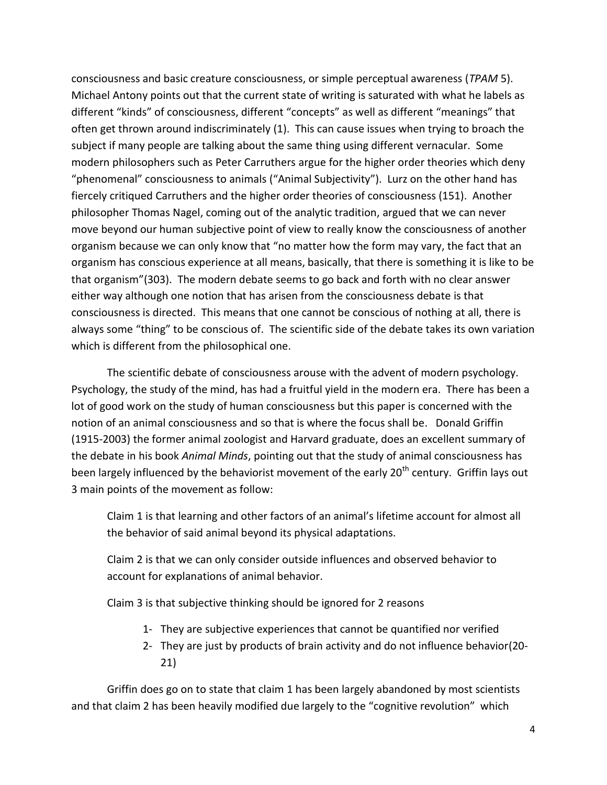consciousness and basic creature consciousness, or simple perceptual awareness (*TPAM* 5). Michael Antony points out that the current state of writing is saturated with what he labels as different "kinds" of consciousness, different "concepts" as well as different "meanings" that often get thrown around indiscriminately (1). This can cause issues when trying to broach the subject if many people are talking about the same thing using different vernacular. Some modern philosophers such as Peter Carruthers argue for the higher order theories which deny "phenomenal" consciousness to animals ("Animal Subjectivity"). Lurz on the other hand has fiercely critiqued Carruthers and the higher order theories of consciousness (151). Another philosopher Thomas Nagel, coming out of the analytic tradition, argued that we can never move beyond our human subjective point of view to really know the consciousness of another organism because we can only know that "no matter how the form may vary, the fact that an organism has conscious experience at all means, basically, that there is something it is like to be that organism"(303). The modern debate seems to go back and forth with no clear answer either way although one notion that has arisen from the consciousness debate is that consciousness is directed. This means that one cannot be conscious of nothing at all, there is always some "thing" to be conscious of. The scientific side of the debate takes its own variation which is different from the philosophical one.

The scientific debate of consciousness arouse with the advent of modern psychology. Psychology, the study of the mind, has had a fruitful yield in the modern era. There has been a lot of good work on the study of human consciousness but this paper is concerned with the notion of an animal consciousness and so that is where the focus shall be. Donald Griffin (1915-2003) the former animal zoologist and Harvard graduate, does an excellent summary of the debate in his book *Animal Minds*, pointing out that the study of animal consciousness has been largely influenced by the behaviorist movement of the early 20<sup>th</sup> century. Griffin lays out 3 main points of the movement as follow:

Claim 1 is that learning and other factors of an animal's lifetime account for almost all the behavior of said animal beyond its physical adaptations.

Claim 2 is that we can only consider outside influences and observed behavior to account for explanations of animal behavior.

Claim 3 is that subjective thinking should be ignored for 2 reasons

- 1- They are subjective experiences that cannot be quantified nor verified
- 2- They are just by products of brain activity and do not influence behavior(20- 21)

Griffin does go on to state that claim 1 has been largely abandoned by most scientists and that claim 2 has been heavily modified due largely to the "cognitive revolution" which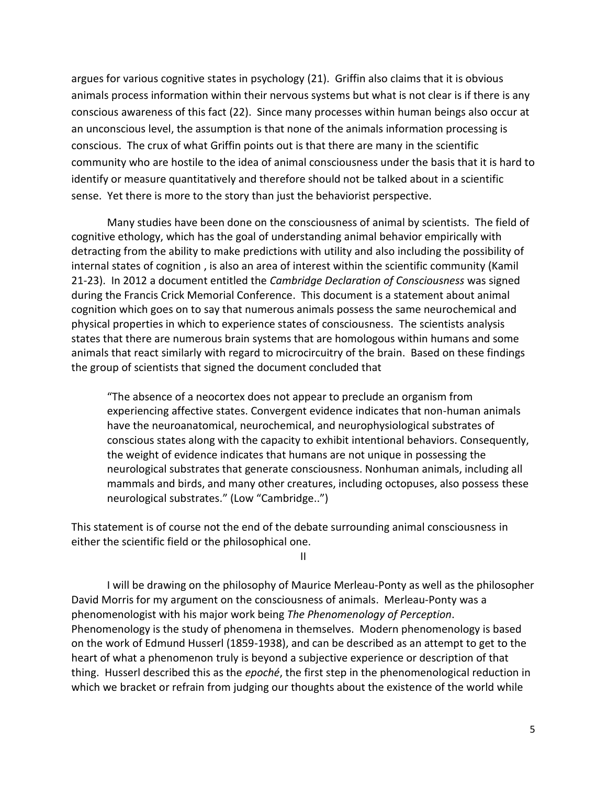argues for various cognitive states in psychology (21). Griffin also claims that it is obvious animals process information within their nervous systems but what is not clear is if there is any conscious awareness of this fact (22). Since many processes within human beings also occur at an unconscious level, the assumption is that none of the animals information processing is conscious. The crux of what Griffin points out is that there are many in the scientific community who are hostile to the idea of animal consciousness under the basis that it is hard to identify or measure quantitatively and therefore should not be talked about in a scientific sense. Yet there is more to the story than just the behaviorist perspective.

Many studies have been done on the consciousness of animal by scientists. The field of cognitive ethology, which has the goal of understanding animal behavior empirically with detracting from the ability to make predictions with utility and also including the possibility of internal states of cognition , is also an area of interest within the scientific community (Kamil 21-23). In 2012 a document entitled the *Cambridge Declaration of Consciousness* was signed during the Francis Crick Memorial Conference. This document is a statement about animal cognition which goes on to say that numerous animals possess the same neurochemical and physical properties in which to experience states of consciousness. The scientists analysis states that there are numerous brain systems that are homologous within humans and some animals that react similarly with regard to microcircuitry of the brain. Based on these findings the group of scientists that signed the document concluded that

"The absence of a neocortex does not appear to preclude an organism from experiencing affective states. Convergent evidence indicates that non-human animals have the neuroanatomical, neurochemical, and neurophysiological substrates of conscious states along with the capacity to exhibit intentional behaviors. Consequently, the weight of evidence indicates that humans are not unique in possessing the neurological substrates that generate consciousness. Nonhuman animals, including all mammals and birds, and many other creatures, including octopuses, also possess these neurological substrates." (Low "Cambridge..")

This statement is of course not the end of the debate surrounding animal consciousness in either the scientific field or the philosophical one.

II

I will be drawing on the philosophy of Maurice Merleau-Ponty as well as the philosopher David Morris for my argument on the consciousness of animals. Merleau-Ponty was a phenomenologist with his major work being *The Phenomenology of Perception*. Phenomenology is the study of phenomena in themselves. Modern phenomenology is based on the work of Edmund Husserl (1859-1938), and can be described as an attempt to get to the heart of what a phenomenon truly is beyond a subjective experience or description of that thing. Husserl described this as the *epoché*, the first step in the phenomenological reduction in which we bracket or refrain from judging our thoughts about the existence of the world while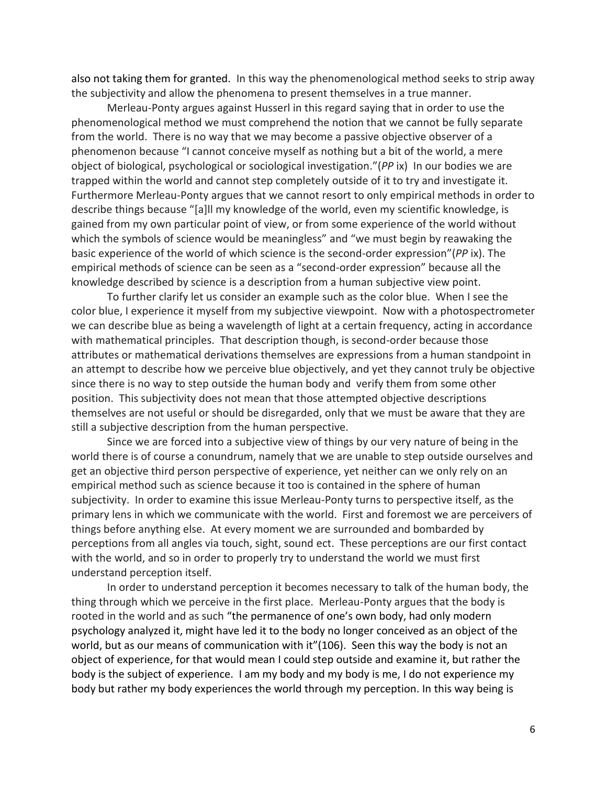also not taking them for granted. In this way the phenomenological method seeks to strip away the subjectivity and allow the phenomena to present themselves in a true manner.

Merleau-Ponty argues against Husserl in this regard saying that in order to use the phenomenological method we must comprehend the notion that we cannot be fully separate from the world. There is no way that we may become a passive objective observer of a phenomenon because "I cannot conceive myself as nothing but a bit of the world, a mere object of biological, psychological or sociological investigation."(*PP* ix) In our bodies we are trapped within the world and cannot step completely outside of it to try and investigate it. Furthermore Merleau-Ponty argues that we cannot resort to only empirical methods in order to describe things because "[a]ll my knowledge of the world, even my scientific knowledge, is gained from my own particular point of view, or from some experience of the world without which the symbols of science would be meaningless" and "we must begin by reawaking the basic experience of the world of which science is the second-order expression"(*PP* ix). The empirical methods of science can be seen as a "second-order expression" because all the knowledge described by science is a description from a human subjective view point.

To further clarify let us consider an example such as the color blue. When I see the color blue, I experience it myself from my subjective viewpoint. Now with a photospectrometer we can describe blue as being a wavelength of light at a certain frequency, acting in accordance with mathematical principles. That description though, is second-order because those attributes or mathematical derivations themselves are expressions from a human standpoint in an attempt to describe how we perceive blue objectively, and yet they cannot truly be objective since there is no way to step outside the human body and verify them from some other position. This subjectivity does not mean that those attempted objective descriptions themselves are not useful or should be disregarded, only that we must be aware that they are still a subjective description from the human perspective.

Since we are forced into a subjective view of things by our very nature of being in the world there is of course a conundrum, namely that we are unable to step outside ourselves and get an objective third person perspective of experience, yet neither can we only rely on an empirical method such as science because it too is contained in the sphere of human subjectivity. In order to examine this issue Merleau-Ponty turns to perspective itself, as the primary lens in which we communicate with the world. First and foremost we are perceivers of things before anything else. At every moment we are surrounded and bombarded by perceptions from all angles via touch, sight, sound ect. These perceptions are our first contact with the world, and so in order to properly try to understand the world we must first understand perception itself.

In order to understand perception it becomes necessary to talk of the human body, the thing through which we perceive in the first place. Merleau-Ponty argues that the body is rooted in the world and as such "the permanence of one's own body, had only modern psychology analyzed it, might have led it to the body no longer conceived as an object of the world, but as our means of communication with it"(106). Seen this way the body is not an object of experience, for that would mean I could step outside and examine it, but rather the body is the subject of experience. I am my body and my body is me, I do not experience my body but rather my body experiences the world through my perception. In this way being is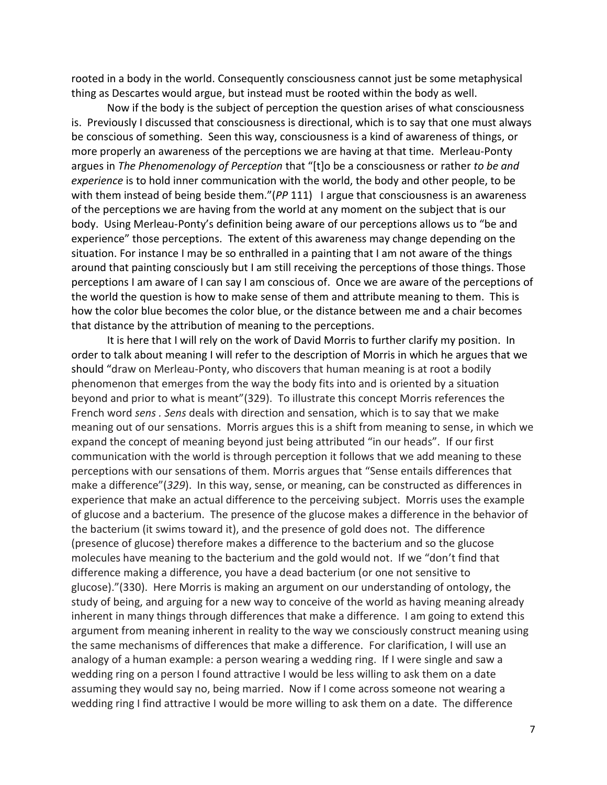rooted in a body in the world. Consequently consciousness cannot just be some metaphysical thing as Descartes would argue, but instead must be rooted within the body as well.

Now if the body is the subject of perception the question arises of what consciousness is. Previously I discussed that consciousness is directional, which is to say that one must always be conscious of something. Seen this way, consciousness is a kind of awareness of things, or more properly an awareness of the perceptions we are having at that time. Merleau-Ponty argues in *The Phenomenology of Perception* that "[t]o be a consciousness or rather *to be and experience* is to hold inner communication with the world, the body and other people, to be with them instead of being beside them."(*PP* 111) I argue that consciousness is an awareness of the perceptions we are having from the world at any moment on the subject that is our body. Using Merleau-Ponty's definition being aware of our perceptions allows us to "be and experience" those perceptions. The extent of this awareness may change depending on the situation. For instance I may be so enthralled in a painting that I am not aware of the things around that painting consciously but I am still receiving the perceptions of those things. Those perceptions I am aware of I can say I am conscious of. Once we are aware of the perceptions of the world the question is how to make sense of them and attribute meaning to them. This is how the color blue becomes the color blue, or the distance between me and a chair becomes that distance by the attribution of meaning to the perceptions.

It is here that I will rely on the work of David Morris to further clarify my position. In order to talk about meaning I will refer to the description of Morris in which he argues that we should "draw on Merleau-Ponty, who discovers that human meaning is at root a bodily phenomenon that emerges from the way the body fits into and is oriented by a situation beyond and prior to what is meant"(329). To illustrate this concept Morris references the French word *sens . Sens* deals with direction and sensation, which is to say that we make meaning out of our sensations. Morris argues this is a shift from meaning to sense, in which we expand the concept of meaning beyond just being attributed "in our heads". If our first communication with the world is through perception it follows that we add meaning to these perceptions with our sensations of them. Morris argues that "Sense entails differences that make a difference"(*329*). In this way, sense, or meaning, can be constructed as differences in experience that make an actual difference to the perceiving subject. Morris uses the example of glucose and a bacterium. The presence of the glucose makes a difference in the behavior of the bacterium (it swims toward it), and the presence of gold does not. The difference (presence of glucose) therefore makes a difference to the bacterium and so the glucose molecules have meaning to the bacterium and the gold would not. If we "don't find that difference making a difference, you have a dead bacterium (or one not sensitive to glucose)."(330). Here Morris is making an argument on our understanding of ontology, the study of being, and arguing for a new way to conceive of the world as having meaning already inherent in many things through differences that make a difference. I am going to extend this argument from meaning inherent in reality to the way we consciously construct meaning using the same mechanisms of differences that make a difference. For clarification, I will use an analogy of a human example: a person wearing a wedding ring. If I were single and saw a wedding ring on a person I found attractive I would be less willing to ask them on a date assuming they would say no, being married. Now if I come across someone not wearing a wedding ring I find attractive I would be more willing to ask them on a date. The difference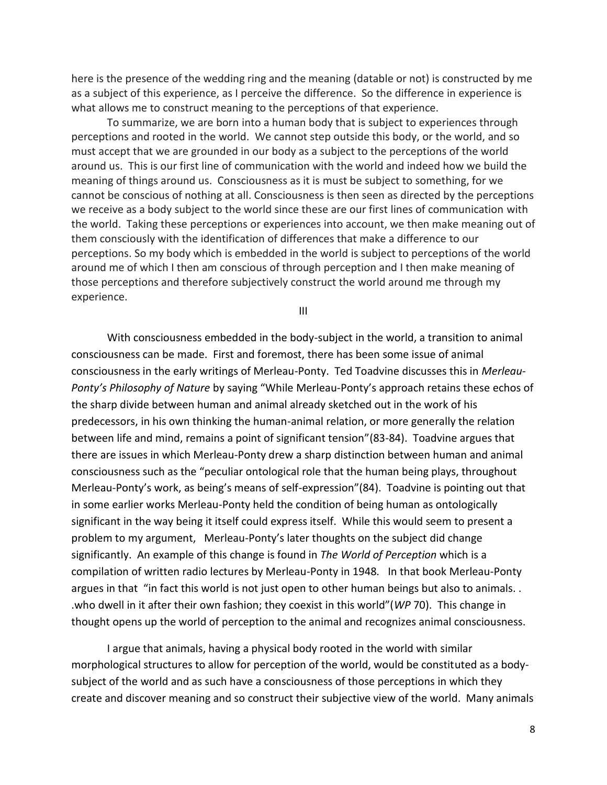here is the presence of the wedding ring and the meaning (datable or not) is constructed by me as a subject of this experience, as I perceive the difference. So the difference in experience is what allows me to construct meaning to the perceptions of that experience.

To summarize, we are born into a human body that is subject to experiences through perceptions and rooted in the world. We cannot step outside this body, or the world, and so must accept that we are grounded in our body as a subject to the perceptions of the world around us. This is our first line of communication with the world and indeed how we build the meaning of things around us. Consciousness as it is must be subject to something, for we cannot be conscious of nothing at all. Consciousness is then seen as directed by the perceptions we receive as a body subject to the world since these are our first lines of communication with the world. Taking these perceptions or experiences into account, we then make meaning out of them consciously with the identification of differences that make a difference to our perceptions. So my body which is embedded in the world is subject to perceptions of the world around me of which I then am conscious of through perception and I then make meaning of those perceptions and therefore subjectively construct the world around me through my experience.

III

With consciousness embedded in the body-subject in the world, a transition to animal consciousness can be made. First and foremost, there has been some issue of animal consciousness in the early writings of Merleau-Ponty. Ted Toadvine discusses this in *Merleau-Ponty's Philosophy of Nature* by saying "While Merleau-Ponty's approach retains these echos of the sharp divide between human and animal already sketched out in the work of his predecessors, in his own thinking the human-animal relation, or more generally the relation between life and mind, remains a point of significant tension"(83-84). Toadvine argues that there are issues in which Merleau-Ponty drew a sharp distinction between human and animal consciousness such as the "peculiar ontological role that the human being plays, throughout Merleau-Ponty's work, as being's means of self-expression"(84). Toadvine is pointing out that in some earlier works Merleau-Ponty held the condition of being human as ontologically significant in the way being it itself could express itself. While this would seem to present a problem to my argument, Merleau-Ponty's later thoughts on the subject did change significantly. An example of this change is found in *The World of Perception* which is a compilation of written radio lectures by Merleau-Ponty in 1948*.* In that book Merleau-Ponty argues in that "in fact this world is not just open to other human beings but also to animals. . .who dwell in it after their own fashion; they coexist in this world"(*WP* 70). This change in thought opens up the world of perception to the animal and recognizes animal consciousness.

I argue that animals, having a physical body rooted in the world with similar morphological structures to allow for perception of the world, would be constituted as a bodysubject of the world and as such have a consciousness of those perceptions in which they create and discover meaning and so construct their subjective view of the world. Many animals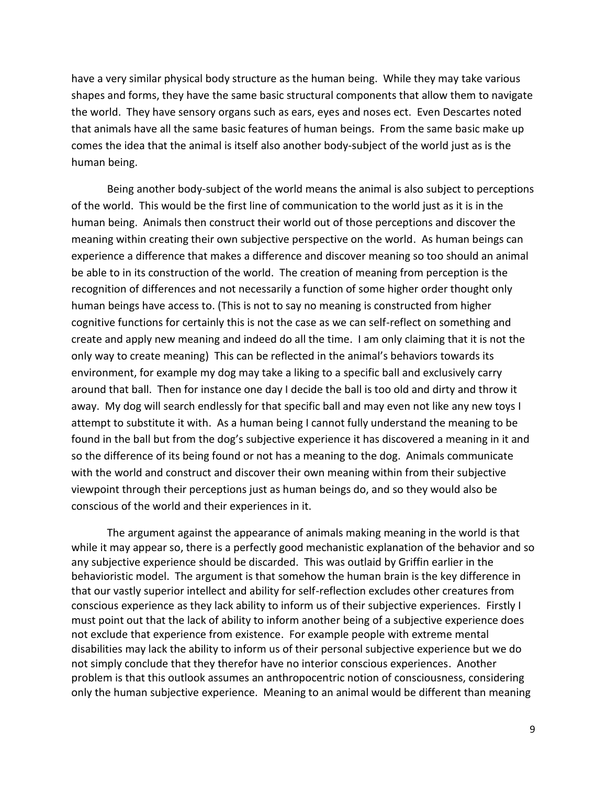have a very similar physical body structure as the human being. While they may take various shapes and forms, they have the same basic structural components that allow them to navigate the world. They have sensory organs such as ears, eyes and noses ect. Even Descartes noted that animals have all the same basic features of human beings. From the same basic make up comes the idea that the animal is itself also another body-subject of the world just as is the human being.

Being another body-subject of the world means the animal is also subject to perceptions of the world. This would be the first line of communication to the world just as it is in the human being. Animals then construct their world out of those perceptions and discover the meaning within creating their own subjective perspective on the world. As human beings can experience a difference that makes a difference and discover meaning so too should an animal be able to in its construction of the world. The creation of meaning from perception is the recognition of differences and not necessarily a function of some higher order thought only human beings have access to. (This is not to say no meaning is constructed from higher cognitive functions for certainly this is not the case as we can self-reflect on something and create and apply new meaning and indeed do all the time. I am only claiming that it is not the only way to create meaning) This can be reflected in the animal's behaviors towards its environment, for example my dog may take a liking to a specific ball and exclusively carry around that ball. Then for instance one day I decide the ball is too old and dirty and throw it away. My dog will search endlessly for that specific ball and may even not like any new toys I attempt to substitute it with. As a human being I cannot fully understand the meaning to be found in the ball but from the dog's subjective experience it has discovered a meaning in it and so the difference of its being found or not has a meaning to the dog. Animals communicate with the world and construct and discover their own meaning within from their subjective viewpoint through their perceptions just as human beings do, and so they would also be conscious of the world and their experiences in it.

The argument against the appearance of animals making meaning in the world is that while it may appear so, there is a perfectly good mechanistic explanation of the behavior and so any subjective experience should be discarded. This was outlaid by Griffin earlier in the behavioristic model. The argument is that somehow the human brain is the key difference in that our vastly superior intellect and ability for self-reflection excludes other creatures from conscious experience as they lack ability to inform us of their subjective experiences. Firstly I must point out that the lack of ability to inform another being of a subjective experience does not exclude that experience from existence. For example people with extreme mental disabilities may lack the ability to inform us of their personal subjective experience but we do not simply conclude that they therefor have no interior conscious experiences. Another problem is that this outlook assumes an anthropocentric notion of consciousness, considering only the human subjective experience. Meaning to an animal would be different than meaning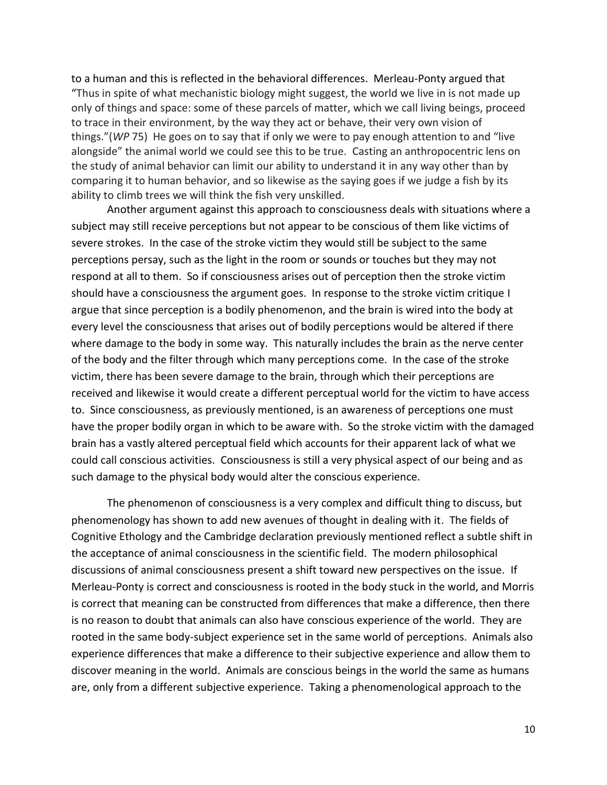to a human and this is reflected in the behavioral differences. Merleau-Ponty argued that "Thus in spite of what mechanistic biology might suggest, the world we live in is not made up only of things and space: some of these parcels of matter, which we call living beings, proceed to trace in their environment, by the way they act or behave, their very own vision of things."(*WP* 75) He goes on to say that if only we were to pay enough attention to and "live alongside" the animal world we could see this to be true. Casting an anthropocentric lens on the study of animal behavior can limit our ability to understand it in any way other than by comparing it to human behavior, and so likewise as the saying goes if we judge a fish by its ability to climb trees we will think the fish very unskilled.

Another argument against this approach to consciousness deals with situations where a subject may still receive perceptions but not appear to be conscious of them like victims of severe strokes. In the case of the stroke victim they would still be subject to the same perceptions persay, such as the light in the room or sounds or touches but they may not respond at all to them. So if consciousness arises out of perception then the stroke victim should have a consciousness the argument goes. In response to the stroke victim critique I argue that since perception is a bodily phenomenon, and the brain is wired into the body at every level the consciousness that arises out of bodily perceptions would be altered if there where damage to the body in some way. This naturally includes the brain as the nerve center of the body and the filter through which many perceptions come. In the case of the stroke victim, there has been severe damage to the brain, through which their perceptions are received and likewise it would create a different perceptual world for the victim to have access to. Since consciousness, as previously mentioned, is an awareness of perceptions one must have the proper bodily organ in which to be aware with. So the stroke victim with the damaged brain has a vastly altered perceptual field which accounts for their apparent lack of what we could call conscious activities. Consciousness is still a very physical aspect of our being and as such damage to the physical body would alter the conscious experience.

The phenomenon of consciousness is a very complex and difficult thing to discuss, but phenomenology has shown to add new avenues of thought in dealing with it. The fields of Cognitive Ethology and the Cambridge declaration previously mentioned reflect a subtle shift in the acceptance of animal consciousness in the scientific field. The modern philosophical discussions of animal consciousness present a shift toward new perspectives on the issue. If Merleau-Ponty is correct and consciousness is rooted in the body stuck in the world, and Morris is correct that meaning can be constructed from differences that make a difference, then there is no reason to doubt that animals can also have conscious experience of the world. They are rooted in the same body-subject experience set in the same world of perceptions. Animals also experience differences that make a difference to their subjective experience and allow them to discover meaning in the world. Animals are conscious beings in the world the same as humans are, only from a different subjective experience. Taking a phenomenological approach to the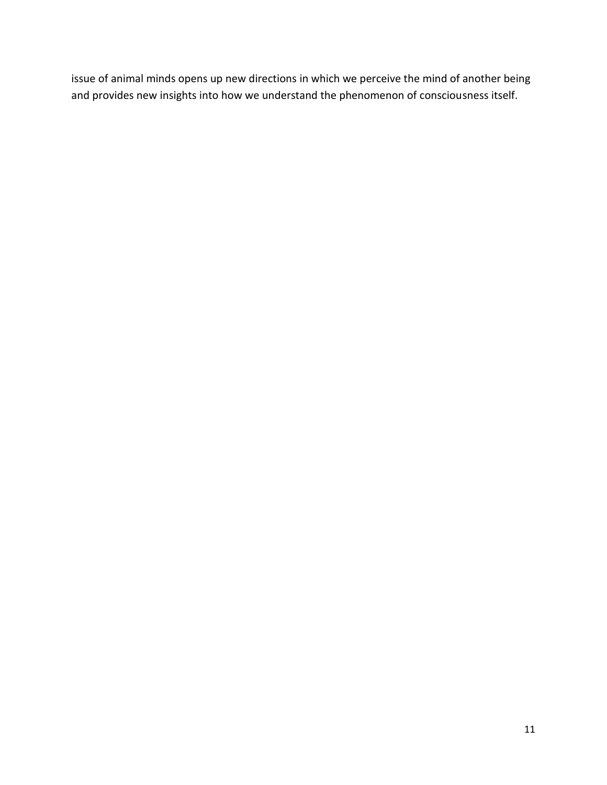issue of animal minds opens up new directions in which we perceive the mind of another being and provides new insights into how we understand the phenomenon of consciousness itself.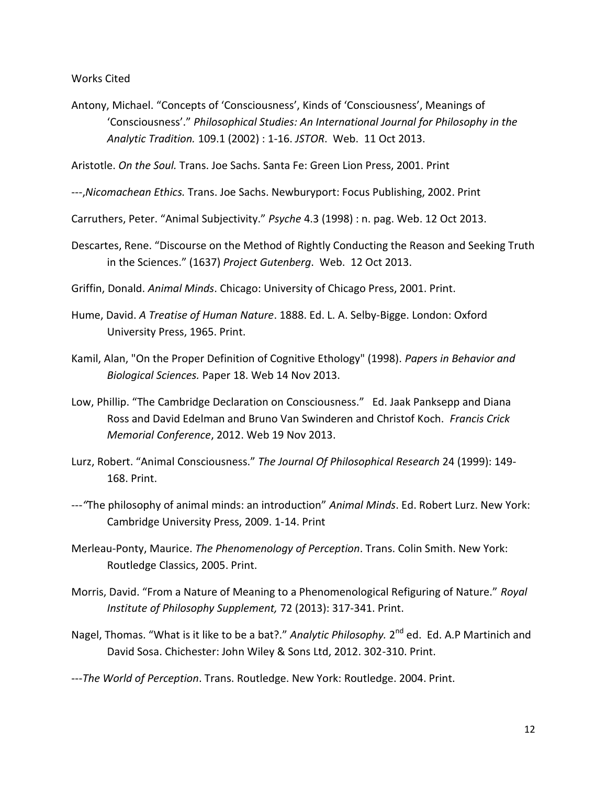Works Cited

Antony, Michael. "Concepts of 'Consciousness', Kinds of 'Consciousness', Meanings of 'Consciousness'." *Philosophical Studies: An International Journal for Philosophy in the Analytic Tradition.* 109.1 (2002) : 1-16. *JSTOR*. Web. 11 Oct 2013.

Aristotle. *On the Soul.* Trans. Joe Sachs. Santa Fe: Green Lion Press, 2001. Print

- ---,*Nicomachean Ethics.* Trans. Joe Sachs. Newburyport: Focus Publishing, 2002. Print
- Carruthers, Peter. "Animal Subjectivity." *Psyche* 4.3 (1998) : n. pag. Web. 12 Oct 2013.
- Descartes, Rene. "Discourse on the Method of Rightly Conducting the Reason and Seeking Truth in the Sciences." (1637) *Project Gutenberg*. Web. 12 Oct 2013.
- Griffin, Donald. *Animal Minds*. Chicago: University of Chicago Press, 2001. Print.
- Hume, David. *A Treatise of Human Nature*. 1888. Ed. L. A. Selby-Bigge. London: Oxford University Press, 1965. Print.
- Kamil, Alan, "On the Proper Definition of Cognitive Ethology" (1998). *Papers in Behavior and Biological Sciences.* Paper 18. Web 14 Nov 2013.
- Low, Phillip. "The Cambridge Declaration on Consciousness." Ed. Jaak Panksepp and Diana Ross and David Edelman and Bruno Van Swinderen and Christof Koch. *Francis Crick Memorial Conference*, 2012. Web 19 Nov 2013.
- Lurz, Robert. "Animal Consciousness." *The Journal Of Philosophical Research* 24 (1999): 149- 168. Print.
- ---*"*The philosophy of animal minds: an introduction" *Animal Minds*. Ed. Robert Lurz. New York: Cambridge University Press, 2009. 1-14. Print
- Merleau-Ponty, Maurice. *The Phenomenology of Perception*. Trans. Colin Smith. New York: Routledge Classics, 2005. Print.
- Morris, David. "From a Nature of Meaning to a Phenomenological Refiguring of Nature." *Royal Institute of Philosophy Supplement,* 72 (2013): 317-341. Print.
- Nagel, Thomas. "What is it like to be a bat?." Analytic Philosophy. 2<sup>nd</sup> ed. Ed. A.P Martinich and David Sosa. Chichester: John Wiley & Sons Ltd, 2012. 302-310. Print.
- ---*The World of Perception*. Trans. Routledge. New York: Routledge. 2004. Print.